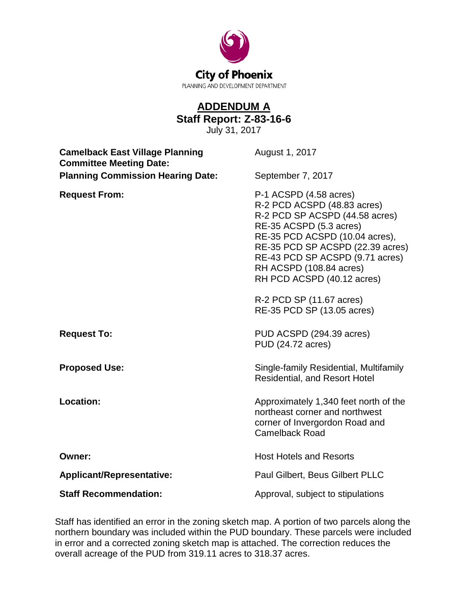

## **ADDENDUM A Staff Report: Z-83-16-6**

July 31, 2017

| <b>Camelback East Village Planning</b><br><b>Committee Meeting Date:</b> | August 1, 2017                                                                                                                                                                                                                                                                                                                                 |
|--------------------------------------------------------------------------|------------------------------------------------------------------------------------------------------------------------------------------------------------------------------------------------------------------------------------------------------------------------------------------------------------------------------------------------|
| <b>Planning Commission Hearing Date:</b>                                 | September 7, 2017                                                                                                                                                                                                                                                                                                                              |
| <b>Request From:</b>                                                     | P-1 ACSPD (4.58 acres)<br>R-2 PCD ACSPD (48.83 acres)<br>R-2 PCD SP ACSPD (44.58 acres)<br>RE-35 ACSPD (5.3 acres)<br>RE-35 PCD ACSPD (10.04 acres),<br>RE-35 PCD SP ACSPD (22.39 acres)<br>RE-43 PCD SP ACSPD (9.71 acres)<br>RH ACSPD (108.84 acres)<br>RH PCD ACSPD (40.12 acres)<br>R-2 PCD SP (11.67 acres)<br>RE-35 PCD SP (13.05 acres) |
| <b>Request To:</b>                                                       | PUD ACSPD (294.39 acres)<br>PUD (24.72 acres)                                                                                                                                                                                                                                                                                                  |
| <b>Proposed Use:</b>                                                     | Single-family Residential, Multifamily<br><b>Residential, and Resort Hotel</b>                                                                                                                                                                                                                                                                 |
| <b>Location:</b>                                                         | Approximately 1,340 feet north of the<br>northeast corner and northwest<br>corner of Invergordon Road and<br><b>Camelback Road</b>                                                                                                                                                                                                             |
| Owner:                                                                   | <b>Host Hotels and Resorts</b>                                                                                                                                                                                                                                                                                                                 |
| <b>Applicant/Representative:</b>                                         | Paul Gilbert, Beus Gilbert PLLC                                                                                                                                                                                                                                                                                                                |
| <b>Staff Recommendation:</b>                                             | Approval, subject to stipulations                                                                                                                                                                                                                                                                                                              |

Staff has identified an error in the zoning sketch map. A portion of two parcels along the northern boundary was included within the PUD boundary. These parcels were included in error and a corrected zoning sketch map is attached. The correction reduces the overall acreage of the PUD from 319.11 acres to 318.37 acres.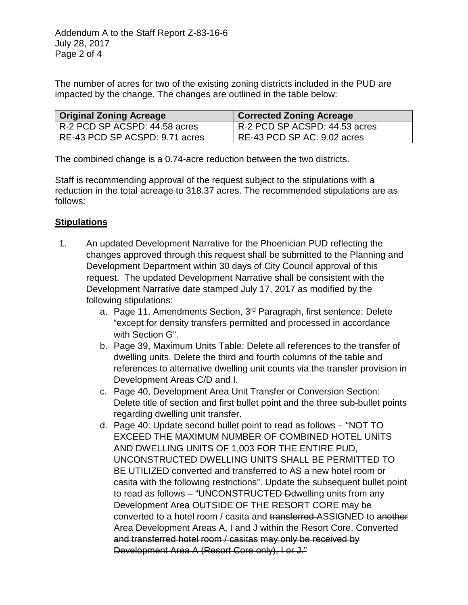The number of acres for two of the existing zoning districts included in the PUD are impacted by the change. The changes are outlined in the table below:

| ∣ Original Zoning Acreage      | <b>Corrected Zoning Acreage</b> |
|--------------------------------|---------------------------------|
| R-2 PCD SP ACSPD: 44.58 acres  | R-2 PCD SP ACSPD: 44.53 acres   |
| RE-43 PCD SP ACSPD: 9.71 acres | RE-43 PCD SP AC: 9.02 acres     |

The combined change is a 0.74-acre reduction between the two districts.

Staff is recommending approval of the request subject to the stipulations with a reduction in the total acreage to 318.37 acres. The recommended stipulations are as follows:

## **Stipulations**

- 1. An updated Development Narrative for the Phoenician PUD reflecting the changes approved through this request shall be submitted to the Planning and Development Department within 30 days of City Council approval of this request. The updated Development Narrative shall be consistent with the Development Narrative date stamped July 17, 2017 as modified by the following stipulations:
	- a. Page 11, Amendments Section, 3rd Paragraph, first sentence: Delete "except for density transfers permitted and processed in accordance with Section G".
	- b. Page 39, Maximum Units Table: Delete all references to the transfer of dwelling units. Delete the third and fourth columns of the table and references to alternative dwelling unit counts via the transfer provision in Development Areas C/D and I.
	- c. Page 40, Development Area Unit Transfer or Conversion Section: Delete title of section and first bullet point and the three sub-bullet points regarding dwelling unit transfer.
	- d. Page 40: Update second bullet point to read as follows "NOT TO EXCEED THE MAXIMUM NUMBER OF COMBINED HOTEL UNITS AND DWELLING UNITS OF 1,003 FOR THE ENTIRE PUD, UNCONSTRUCTED DWELLING UNITS SHALL BE PERMITTED TO BE UTILIZED converted and transferred to AS a new hotel room or casita with the following restrictions". Update the subsequent bullet point to read as follows – "UNCONSTRUCTED Ddwelling units from any Development Area OUTSIDE OF THE RESORT CORE may be converted to a hotel room / casita and transferred ASSIGNED to another Area Development Areas A, I and J within the Resort Core. Converted and transferred hotel room / casitas may only be received by Development Area A (Resort Core only), I or J."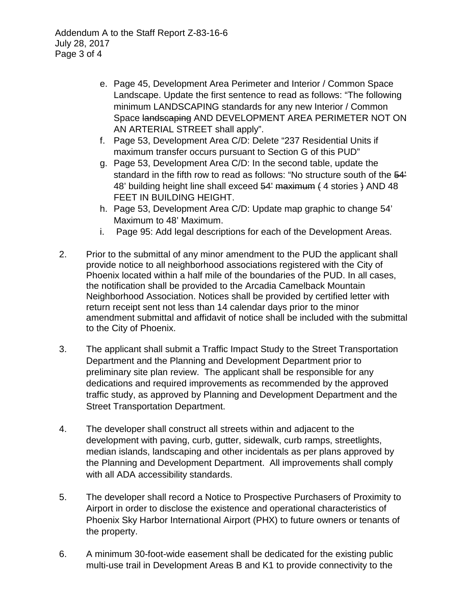Addendum A to the Staff Report Z-83-16-6 July 28, 2017 Page 3 of 4

- e. Page 45, Development Area Perimeter and Interior / Common Space Landscape. Update the first sentence to read as follows: "The following minimum LANDSCAPING standards for any new Interior / Common Space landscaping AND DEVELOPMENT AREA PERIMETER NOT ON AN ARTERIAL STREET shall apply".
- f. Page 53, Development Area C/D: Delete "237 Residential Units if maximum transfer occurs pursuant to Section G of this PUD"
- g. Page 53, Development Area C/D: In the second table, update the standard in the fifth row to read as follows: "No structure south of the 54' 48' building height line shall exceed 54' maximum ( 4 stories ) AND 48 FEET IN BUILDING HEIGHT.
- h. Page 53, Development Area C/D: Update map graphic to change 54' Maximum to 48' Maximum.
- i. Page 95: Add legal descriptions for each of the Development Areas.
- 2. Prior to the submittal of any minor amendment to the PUD the applicant shall provide notice to all neighborhood associations registered with the City of Phoenix located within a half mile of the boundaries of the PUD. In all cases, the notification shall be provided to the Arcadia Camelback Mountain Neighborhood Association. Notices shall be provided by certified letter with return receipt sent not less than 14 calendar days prior to the minor amendment submittal and affidavit of notice shall be included with the submittal to the City of Phoenix.
- 3. The applicant shall submit a Traffic Impact Study to the Street Transportation Department and the Planning and Development Department prior to preliminary site plan review. The applicant shall be responsible for any dedications and required improvements as recommended by the approved traffic study, as approved by Planning and Development Department and the Street Transportation Department.
- 4. The developer shall construct all streets within and adjacent to the development with paving, curb, gutter, sidewalk, curb ramps, streetlights, median islands, landscaping and other incidentals as per plans approved by the Planning and Development Department. All improvements shall comply with all ADA accessibility standards.
- 5. The developer shall record a Notice to Prospective Purchasers of Proximity to Airport in order to disclose the existence and operational characteristics of Phoenix Sky Harbor International Airport (PHX) to future owners or tenants of the property.
- 6. A minimum 30-foot-wide easement shall be dedicated for the existing public multi-use trail in Development Areas B and K1 to provide connectivity to the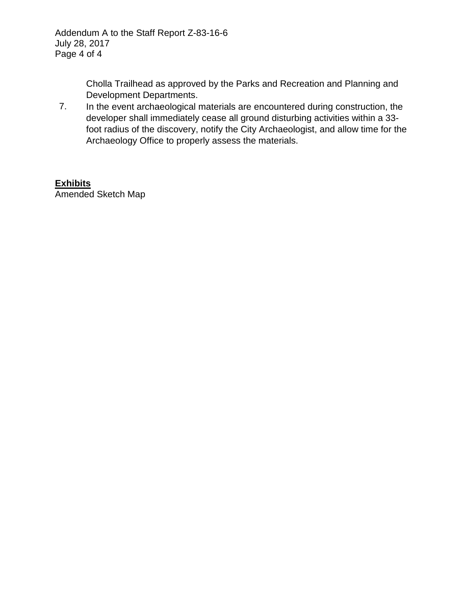Cholla Trailhead as approved by the Parks and Recreation and Planning and Development Departments.

7. In the event archaeological materials are encountered during construction, the developer shall immediately cease all ground disturbing activities within a 33 foot radius of the discovery, notify the City Archaeologist, and allow time for the Archaeology Office to properly assess the materials.

## **Exhibits**

Amended Sketch Map